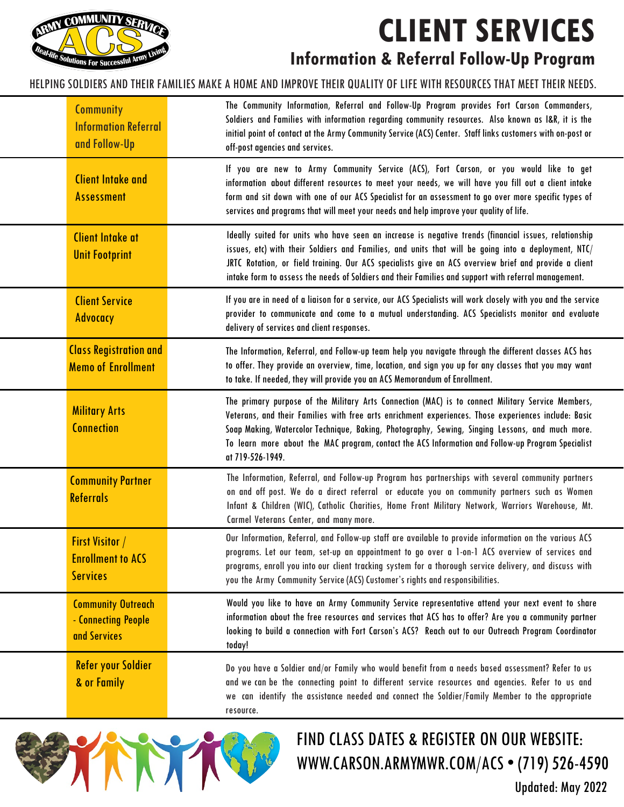## **CLIENT SERVICES**



**Information & Referral Follow-Up Program**

## HELPING SOLDIERS AND THEIR FAMILIES MAKE A HOME AND IMPROVE THEIR QUALITY OF LIFE WITH RESOURCES THAT MEET THEIR NEEDS.

| <b>Community</b><br><b>Information Referral</b><br>and Follow-Up      | The Community Information, Referral and Follow-Up Program provides Fort Carson Commanders,<br>Soldiers and Families with information regarding community resources. Also known as I&R, it is the<br>initial point of contact at the Army Community Service (ACS) Center. Staff links customers with on-post or<br>off-post agencies and services.                                                                                     |
|-----------------------------------------------------------------------|---------------------------------------------------------------------------------------------------------------------------------------------------------------------------------------------------------------------------------------------------------------------------------------------------------------------------------------------------------------------------------------------------------------------------------------|
| <b>Client Intake and</b><br><b>Assessment</b>                         | If you are new to Army Community Service (ACS), Fort Carson, or you would like to get<br>information about different resources to meet your needs, we will have you fill out a client intake<br>form and sit down with one of our ACS Specialist for an assessment to go over more specific types of<br>services and programs that will meet your needs and help improve your quality of life.                                        |
| <b>Client Intake at</b><br><b>Unit Footprint</b>                      | Ideally suited for units who have seen an increase is negative trends (financial issues, relationship<br>issues, etc) with their Soldiers and Families, and units that will be going into a deployment, NTC/<br>JRTC Rotation, or field training. Our ACS specialists give an ACS overview brief and provide a client<br>intake form to assess the needs of Soldiers and their Families and support with referral management.         |
| <b>Client Service</b><br>Advocacy                                     | If you are in need of a liaison for a service, our ACS Specialists will work closely with you and the service<br>provider to communicate and come to a mutual understanding. ACS Specialists monitor and evaluate<br>delivery of services and client responses.                                                                                                                                                                       |
| <b>Class Registration and</b><br><b>Memo of Enrollment</b>            | The Information, Referral, and Follow-up team help you navigate through the different classes ACS has<br>to offer. They provide an overview, time, location, and sign you up for any classes that you may want<br>to take. If needed, they will provide you an ACS Memorandum of Enrollment.                                                                                                                                          |
| <b>Military Arts</b><br><b>Connection</b>                             | The primary purpose of the Military Arts Connection (MAC) is to connect Military Service Members,<br>Veterans, and their Families with free arts enrichment experiences. Those experiences include: Basic<br>Soap Making, Watercolor Technique, Baking, Photography, Sewing, Singing Lessons, and much more.<br>To learn more about the MAC program, contact the ACS Information and Follow-up Program Specialist<br>at 719-526-1949. |
| <b>Community Partner</b><br><b>Referrals</b>                          | The Information, Referral, and Follow-up Program has partnerships with several community partners<br>on and off post. We do a direct referral or educate you on community partners such as Women<br>Infant & Children (WIC), Catholic Charities, Home Front Military Network, Warriors Warehouse, Mt.<br>Carmel Veterans Center, and many more.                                                                                       |
| <b>First Visitor /</b><br><b>Enrollment to ACS</b><br><b>Services</b> | Our Information, Referral, and Follow-up staff are available to provide information on the various ACS<br>programs. Let our team, set-up an appointment to go over a 1-on-1 ACS overview of services and<br>programs, enroll you into our client tracking system for a thorough service delivery, and discuss with<br>you the Army Community Service (ACS) Customer's rights and responsibilities.                                    |
| <b>Community Outreach</b><br>- Connecting People<br>and Services      | Would you like to have an Army Community Service representative attend your next event to share<br>information about the free resources and services that ACS has to offer? Are you a community partner<br>looking to build a connection with Fort Carson's ACS? Reach out to our Outreach Program Coordinator<br>today!                                                                                                              |
| <b>Refer your Soldier</b><br>& or Family                              | Do you have a Soldier and/or Family who would benefit from a needs based assessment? Refer to us<br>and we can be the connecting point to different service resources and agencies. Refer to us and<br>we can identify the assistance needed and connect the Soldier/Family Member to the appropriate<br>resource.                                                                                                                    |



## FIND CLASS DATES & REGISTER ON OUR WEBSITE: WWW.CARSON.ARMYMWR.COM/ACS • (719) 526-4590

Updated: May 2022